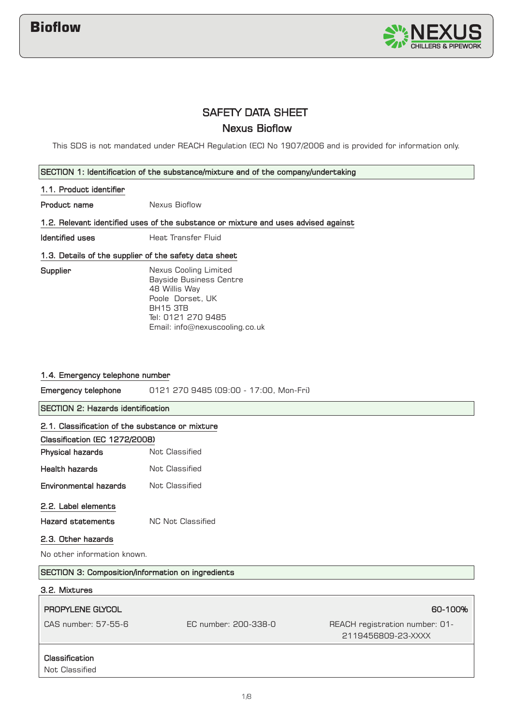

# SAFETY DATA SHEET Nexus Bioflow

This SDS is not mandated under REACH Regulation (EC) No 1907/2006 and is provided for information only.

## SECTION 1: Identification of the substance/mixture and of the company/undertaking

## 1.1. Product identifier

Product name Nexus Bioflow

1.2. Relevant identified uses of the substance or mixture and uses advised against

**Identified uses Heat Transfer Fluid** 

# 1.3. Details of the supplier of the safety data sheet

**Supplier** 

Nexus Cooling Limited Bayside Business Centre 48 Willis Way Poole Dorset, UK BH15 3TB Tel: 0121 270 9485 Email: info@nexuscooling.co.uk

# 1.4. Emergency telephone number

Emergency telephone 0121 270 9485 (09:00 - 17:00, Mon-Fri)

SECTION 2: Hazards identification

|                                                   | 2.1. Classification of the substance or mixture |                                                      |  |
|---------------------------------------------------|-------------------------------------------------|------------------------------------------------------|--|
|                                                   |                                                 |                                                      |  |
| Classification (EC 1272/2008)                     |                                                 |                                                      |  |
| Physical hazards                                  | Not Classified                                  |                                                      |  |
| <b>Health hazards</b>                             | Not Classified                                  |                                                      |  |
| Environmental hazards                             | Not Classified                                  |                                                      |  |
| 2.2. Label elements                               |                                                 |                                                      |  |
| <b>Hazard statements</b>                          | <b>NC Not Classified</b>                        |                                                      |  |
| 2.3. Other hazards                                |                                                 |                                                      |  |
| No other information known.                       |                                                 |                                                      |  |
| SECTION 3: Composition/information on ingredients |                                                 |                                                      |  |
| 3.2. Mixtures                                     |                                                 |                                                      |  |
|                                                   |                                                 |                                                      |  |
| <b>PROPYLENE GLYCOL</b>                           |                                                 | 60-100%                                              |  |
| CAS number: 57-55-6                               | EC number: 200-338-0                            | REACH registration number: 01-<br>2119456809-23-XXXX |  |

# Classification

**Not Classified**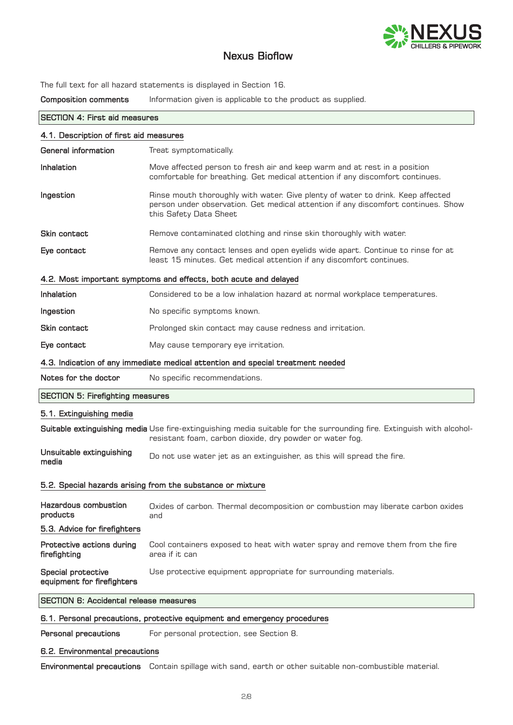

The full text for all hazard statements is displayed in Section 16.

Composition comments Information given is applicable to the product as supplied.

| <b>SECTION 4: First aid measures</b>                             |                                                                                                                                                                                                |  |
|------------------------------------------------------------------|------------------------------------------------------------------------------------------------------------------------------------------------------------------------------------------------|--|
| 4.1. Description of first aid measures                           |                                                                                                                                                                                                |  |
| General information                                              | Treat symptomatically.                                                                                                                                                                         |  |
| <b>Inhalation</b>                                                | Move affected person to fresh air and keep warm and at rest in a position<br>comfortable for breathing. Get medical attention if any discomfort continues.                                     |  |
| Ingestion                                                        | Rinse mouth thoroughly with water. Give plenty of water to drink. Keep affected<br>person under observation. Get medical attention if any discomfort continues. Show<br>this Safety Data Sheet |  |
| Skin contact                                                     | Remove contaminated clothing and rinse skin thoroughly with water.                                                                                                                             |  |
| Eye contact                                                      | Remove any contact lenses and open eyelids wide apart. Continue to rinse for at<br>least 15 minutes. Get medical attention if any discomfort continues.                                        |  |
| 4.2. Most important symptoms and effects, both acute and delayed |                                                                                                                                                                                                |  |
| <b>Inhalation</b>                                                | Considered to be a low inhalation hazard at normal workplace temperatures.                                                                                                                     |  |
| Ingestion                                                        | No specific symptoms known.                                                                                                                                                                    |  |
| Skin contact                                                     | Prolonged skin contact may cause redness and irritation.                                                                                                                                       |  |
| Eye contact                                                      | May cause temporary eye irritation.                                                                                                                                                            |  |
|                                                                  | 4.3. Indication of any immediate medical attention and special treatment needed                                                                                                                |  |
| Notes for the doctor                                             | No specific recommendations.                                                                                                                                                                   |  |
| <b>SECTION 5: Firefighting measures</b>                          |                                                                                                                                                                                                |  |
| 5.1. Extinguishing media                                         |                                                                                                                                                                                                |  |
|                                                                  | Suitable extinguishing media Use fire-extinguishing media suitable for the surrounding fire. Extinguish with alcohol-<br>resistant foam, carbon dioxide, dry powder or water fog.              |  |
| Unsuitable extinguishing<br>media                                | Do not use water jet as an extinguisher, as this will spread the fire.                                                                                                                         |  |
| 5.2. Special hazards arising from the substance or mixture       |                                                                                                                                                                                                |  |
| <b>Hazardous combustion</b><br>products                          | Oxides of carbon. Thermal decomposition or combustion may liberate carbon oxides<br>and                                                                                                        |  |
| 5.3. Advice for firefighters                                     |                                                                                                                                                                                                |  |
| Protective actions during<br>firefighting                        | Cool containers exposed to heat with water spray and remove them from the fire<br>area if it can                                                                                               |  |
| <b>Special protective</b><br>equipment for firefighters          | Use protective equipment appropriate for surrounding materials.                                                                                                                                |  |
| <b>SECTION 6: Accidental release measures</b>                    |                                                                                                                                                                                                |  |
|                                                                  | 6.1. Personal precautions, protective equipment and emergency procedures                                                                                                                       |  |

Personal precautions For personal protection, see Section 8.

# 6.2. Environmental precautions

Environmental precautions Contain spillage with sand, earth or other suitable non-combustible material.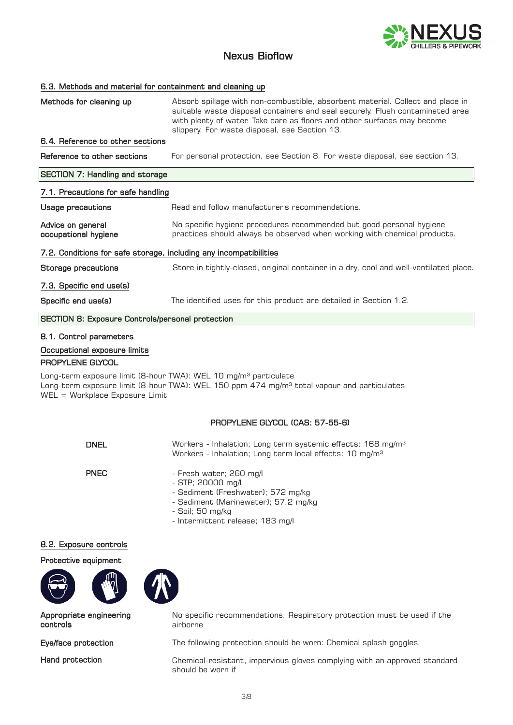

## 6.3. Methods and material for containment and cleaning up

| Methods for cleaning up                                           | Absorb spillage with non-combustible, absorbent material. Collect and place in<br>suitable waste disposal containers and seal securely. Flush contaminated area<br>with plenty of water. Take care as floors and other surfaces may become<br>slippery. For waste disposal, see Section 13. |  |
|-------------------------------------------------------------------|---------------------------------------------------------------------------------------------------------------------------------------------------------------------------------------------------------------------------------------------------------------------------------------------|--|
| 6.4. Reference to other sections                                  |                                                                                                                                                                                                                                                                                             |  |
| Reference to other sections                                       | For personal protection, see Section 8. For waste disposal, see section 13.                                                                                                                                                                                                                 |  |
| <b>SECTION 7: Handling and storage</b>                            |                                                                                                                                                                                                                                                                                             |  |
| 7.1. Precautions for safe handling                                |                                                                                                                                                                                                                                                                                             |  |
| <b>Usage precautions</b>                                          | Read and follow manufacturer's recommendations.                                                                                                                                                                                                                                             |  |
| Advice on general<br>occupational hygiene                         | No specific hygiene procedures recommended but good personal hygiene<br>practices should always be observed when working with chemical products.                                                                                                                                            |  |
| 7.2. Conditions for safe storage, including any incompatibilities |                                                                                                                                                                                                                                                                                             |  |
| Storage precautions                                               | Store in tightly-closed, original container in a dry, cool and well-ventilated place.                                                                                                                                                                                                       |  |
| 7.3. Specific end use(s)                                          |                                                                                                                                                                                                                                                                                             |  |
| Specific end use(s)                                               | The identified uses for this product are detailed in Section 1.2.                                                                                                                                                                                                                           |  |
| <b>SECTION 8: Exposure Controls/personal protection</b>           |                                                                                                                                                                                                                                                                                             |  |

## 8.1. Control parameters

### Occupational exposure limits

## PROPYLENE GLYCOL

Long-term exposure limit (8-hour TWA): WEL 10 mg/m<sup>3</sup> particulate Long-term exposure limit (8-hour TWA): WEL 150 ppm 474 mg/m<sup>3</sup> total vapour and particulates WEL = Workplace Exposure Limit

# PROPYLENE GLYCOL (CAS: 57-55-6)

| <b>DNEL</b> | Workers - Inhalation; Long term systemic effects: 168 mg/m <sup>3</sup> |
|-------------|-------------------------------------------------------------------------|
|             | Workers - Inhalation; Long term local effects: 10 mg/m <sup>3</sup>     |

- PNEC
- Fresh water; 260 mg/l
	- STP; 20000 mg/l
	- Sediment (Freshwater); 572 mg/kg
	- Sediment (Marinewater); 57.2 mg/kg
	- Soil; 50 mg/kg
	- Intermittent release; 183 mg/l

# 8.2. Exposure controls

### Protective equipment







Appropriate engineering controls

Hand protection

No specific recommendations. Respiratory protection must be used if the airborne

Eye/face protection The following protection should be worn: Chemical splash goggles.

Chemical-resistant, impervious gloves complying with an approved standard should be worn if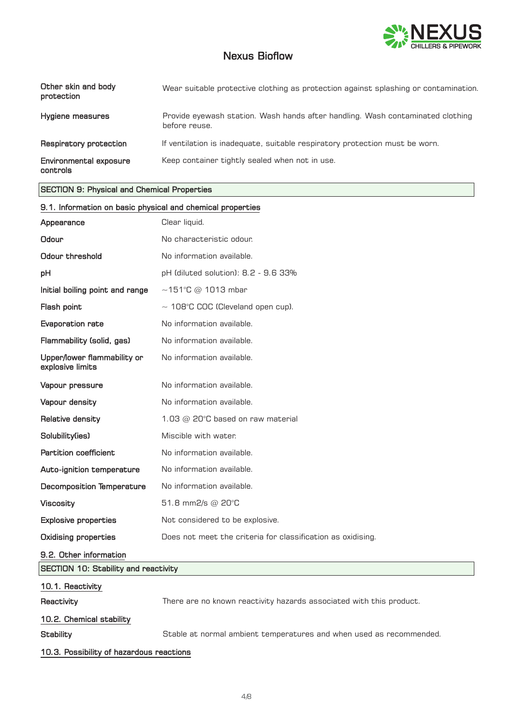

| Other skin and body<br>protection  | Wear suitable protective clothing as protection against splashing or contamination.             |
|------------------------------------|-------------------------------------------------------------------------------------------------|
| Hygiene measures                   | Provide eyewash station. Wash hands after handling. Wash contaminated clothing<br>before reuse. |
| Respiratory protection             | If ventilation is inadequate, suitable respiratory protection must be worn.                     |
| Environmental exposure<br>controls | Keep container tightly sealed when not in use.                                                  |

# SECTION 9: Physical and Chemical Properties

| 9.1. Information on basic physical and chemical properties |                                                                     |  |
|------------------------------------------------------------|---------------------------------------------------------------------|--|
| Appearance                                                 | Clear liquid.                                                       |  |
| Odour                                                      | No characteristic odour.                                            |  |
| Odour threshold                                            | No information available.                                           |  |
| рH                                                         | pH (diluted solution): 8.2 - 9.6 33%                                |  |
| Initial boiling point and range                            | $\sim$ 151°C @ 1013 mbar                                            |  |
| Flash point                                                | $\sim$ 108°C COC (Cleveland open cup).                              |  |
| Evaporation rate                                           | No information available.                                           |  |
| Flammability (solid, gas)                                  | No information available.                                           |  |
| Upper/lower flammability or<br>explosive limits            | No information available.                                           |  |
| Vapour pressure                                            | No information available.                                           |  |
| Vapour density                                             | No information available.                                           |  |
| Relative density                                           | 1.03 $@$ 20 $°C$ based on raw material                              |  |
| Solubility(ies)                                            | Miscible with water.                                                |  |
| <b>Partition coefficient</b>                               | No information available.                                           |  |
| Auto-ignition temperature                                  | No information available.                                           |  |
| <b>Decomposition Temperature</b>                           | No information available.                                           |  |
| <b>Viscosity</b>                                           | 51.8 mm2/s @ 20°C                                                   |  |
| <b>Explosive properties</b>                                | Not considered to be explosive.                                     |  |
| <b>Oxidising properties</b>                                | Does not meet the criteria for classification as oxidising.         |  |
| 9.2. Other information                                     |                                                                     |  |
| <b>SECTION 10: Stability and reactivity</b>                |                                                                     |  |
| 10.1. Reactivity                                           |                                                                     |  |
| Reactivity                                                 | There are no known reactivity hazards associated with this product. |  |
| 10.2. Chemical stability                                   |                                                                     |  |
| <b>Stability</b>                                           | Stable at normal ambient temperatures and when used as recommended. |  |
| 10.3. Possibility of hazardous reactions                   |                                                                     |  |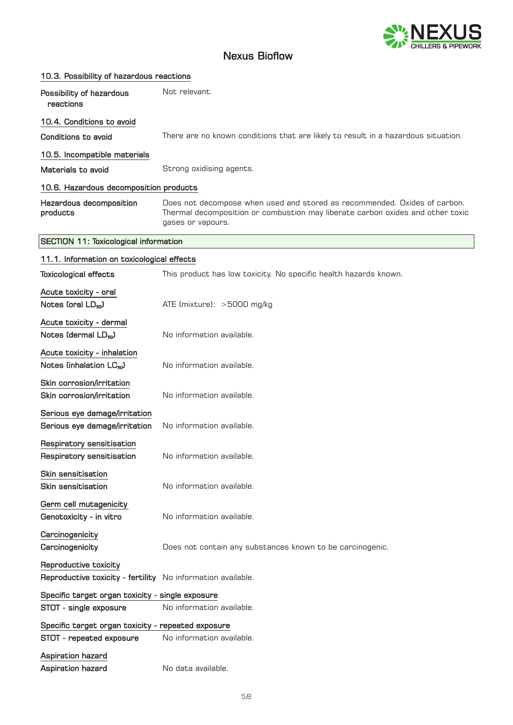

| 10.3. Possibility of hazardous reactions                                             |                                                                                                                                                                                  |
|--------------------------------------------------------------------------------------|----------------------------------------------------------------------------------------------------------------------------------------------------------------------------------|
| Possibility of hazardous<br>reactions                                                | Not relevant.                                                                                                                                                                    |
| 10.4. Conditions to avoid                                                            |                                                                                                                                                                                  |
| Conditions to avoid                                                                  | There are no known conditions that are likely to result in a hazardous situation.                                                                                                |
| 10.5. Incompatible materials                                                         |                                                                                                                                                                                  |
| Materials to avoid                                                                   | Strong oxidising agents.                                                                                                                                                         |
| 10.6. Hazardous decomposition products                                               |                                                                                                                                                                                  |
| Hazardous decomposition<br>products                                                  | Does not decompose when used and stored as recommended. Oxides of carbon.<br>Thermal decomposition or combustion may liberate carbon oxides and other toxic<br>gases or vapours. |
| <b>SECTION 11: Toxicological information</b>                                         |                                                                                                                                                                                  |
| 11.1. Information on toxicological effects                                           |                                                                                                                                                                                  |
| <b>Toxicological effects</b>                                                         | This product has low toxicity. No specific health hazards known.                                                                                                                 |
| Acute toxicity - oral                                                                |                                                                                                                                                                                  |
| Notes (oral $LD_{50}$ )                                                              | ATE (mixture): >5000 mg/kg                                                                                                                                                       |
| Acute toxicity - dermal                                                              |                                                                                                                                                                                  |
| Notes (dermal LD <sub>50</sub> )                                                     | No information available.                                                                                                                                                        |
| Acute toxicity - inhalation                                                          |                                                                                                                                                                                  |
| Notes (inhalation LC <sub>50</sub> )                                                 | No information available.                                                                                                                                                        |
| Skin corrosion/irritation<br>Skin corrosion/irritation                               | No information available.                                                                                                                                                        |
| Serious eye damage/irritation<br>Serious eye damage/irritation                       | No information available.                                                                                                                                                        |
| Respiratory sensitisation<br>Respiratory sensitisation                               | No information available.                                                                                                                                                        |
| <b>Skin sensitisation</b><br>Skin sensitisation                                      | No information available.                                                                                                                                                        |
| Germ cell mutagenicity<br>Genotoxicity - in vitro                                    | No information available.                                                                                                                                                        |
| Carcinogenicity<br>Carcinogenicity                                                   | Does not contain any substances known to be carcinogenic.                                                                                                                        |
| Reproductive toxicity<br>Reproductive toxicity - fertility No information available. |                                                                                                                                                                                  |
| Specific target organ toxicity - single exposure                                     |                                                                                                                                                                                  |
| STOT - single exposure                                                               | No information available.                                                                                                                                                        |
| Specific target organ toxicity - repeated exposure                                   |                                                                                                                                                                                  |
| STOT - repeated exposure                                                             | No information available.                                                                                                                                                        |
| Aspiration hazard                                                                    |                                                                                                                                                                                  |
| Aspiration hazard                                                                    | No data available.                                                                                                                                                               |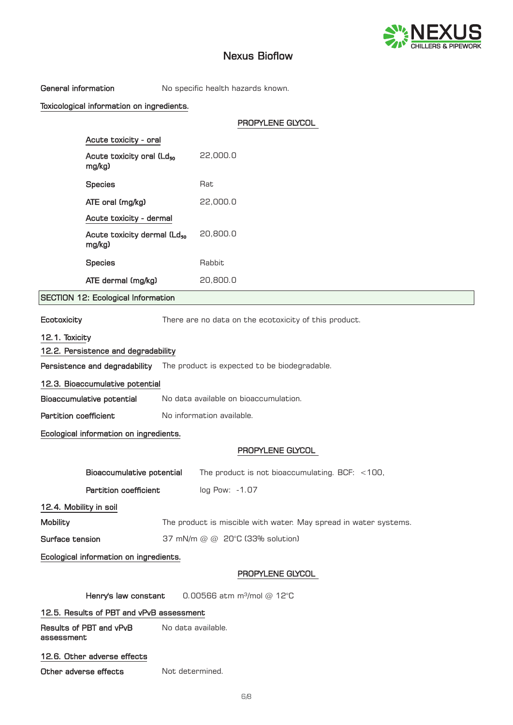

General information Mo specific health hazards known.

# Toxicological information on ingredients.

|                                                                             |                                                                    | PROPYLENE GLYCOL                                                 |
|-----------------------------------------------------------------------------|--------------------------------------------------------------------|------------------------------------------------------------------|
| Acute toxicity - oral                                                       |                                                                    |                                                                  |
| Acute toxicity oral (Ld <sub>50</sub><br>mg/kg)                             |                                                                    | 22,000.0                                                         |
| <b>Species</b>                                                              |                                                                    | Rat                                                              |
| ATE oral (mg/kg)                                                            |                                                                    | 22,000.0                                                         |
| Acute toxicity - dermal                                                     |                                                                    |                                                                  |
| mg/kg)                                                                      | Acute toxicity dermal (Ld <sub>50</sub>                            | 20,800.0                                                         |
| <b>Species</b>                                                              |                                                                    | Rabbit                                                           |
| ATE dermal (mg/kg)                                                          |                                                                    | 20,800.0                                                         |
| <b>SECTION 12: Ecological Information</b>                                   |                                                                    |                                                                  |
| Ecotoxicity                                                                 |                                                                    | There are no data on the ecotoxicity of this product.            |
| 12.1. Toxicity<br>12.2. Persistence and degradability                       |                                                                    |                                                                  |
| Persistence and degradability  The product is expected to be biodegradable. |                                                                    |                                                                  |
| 12.3. Bioaccumulative potential                                             |                                                                    |                                                                  |
|                                                                             | No data available on bioaccumulation.<br>Bioaccumulative potential |                                                                  |
| <b>Partition coefficient</b>                                                | No information available.                                          |                                                                  |
| Ecological information on ingredients.                                      |                                                                    |                                                                  |
|                                                                             |                                                                    | PROPYLENE GLYCOL                                                 |
|                                                                             | Bioaccumulative potential                                          | The product is not bioaccumulating. BCF: $<$ 100,                |
|                                                                             | <b>Partition coefficient</b><br>log Pow: -1.07                     |                                                                  |
| 12.4. Mobility in soil                                                      |                                                                    |                                                                  |
| <b>Mobility</b>                                                             |                                                                    | The product is miscible with water. May spread in water systems. |

Ecological information on ingredients.

# PROPYLENE GLYCOL

|                                          | FOUFTLEINE ULTUU                       |  |
|------------------------------------------|----------------------------------------|--|
| Henry's law constant                     | 0.00566 atm m <sup>3</sup> /mol @ 12°C |  |
| 12.5. Results of PBT and vPvB assessment |                                        |  |
| Results of PBT and vPvB<br>assessment    | No data available.                     |  |
| 12.6. Other adverse effects              |                                        |  |
| Other adverse effects                    | Not determined.                        |  |

Surface tension 37 mN/m @ @ 20°C (33% solution)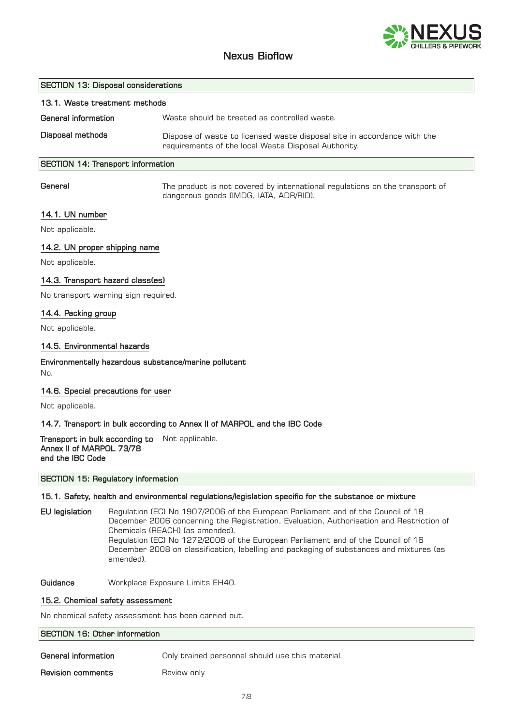

## SECTION 13: Disposal considerations

| 13.1. Waste treatment methods |                                                                                                                                |
|-------------------------------|--------------------------------------------------------------------------------------------------------------------------------|
| General information           | Waste should be treated as controlled waste.                                                                                   |
| Disposal methods              | Dispose of waste to licensed waste disposal site in accordance with the<br>requirements of the local Waste Disposal Authority. |
|                               |                                                                                                                                |

# SECTION 14: Transport information

General

The product is not covered by international regulations on the transport of dangerous goods (IMDG, IATA, ADR/RID).

## 14.1. UN number

Not applicable.

## 14.2. UN proper shipping name

Not applicable.

## 14.3. Transport hazard class(es)

No transport warning sign required.

### 14.4. Packing group

Not applicable.

### 14.5. Environmental hazards

### Environmentally hazardous substance/marine pollutant No.

### 14.6. Special precautions for user

Not applicable.

### 14.7. Transport in bulk according to Annex II of MARPOL and the IBC Code

**Transport in bulk according to** Not applicable. Annex II of MARPOL 73/78 and the IBC Code

SECTION 15: Regulatory information

## 15.1. Safety, health and environmental regulations/legislation specific for the substance or mixture

EU legislation Regulation (EC) No 1907/2006 of the European Parliament and of the Council of 18 December 2006 concerning the Registration, Evaluation, Authorisation and Restriction of Chemicals (REACH) (as amended). Regulation (EC) No 1272/2008 of the European Parliament and of the Council of 16 December 2008 on classification, labelling and packaging of substances and mixtures (as amended).

Guidance **Workplace Exposure Limits EH40.** 

# 15.2. Chemical safety assessment

No chemical safety assessment has been carried out.

| SECTION 16: Other information |                                                  |  |
|-------------------------------|--------------------------------------------------|--|
| General information           | Only trained personnel should use this material. |  |
| Revision comments             | Review only                                      |  |